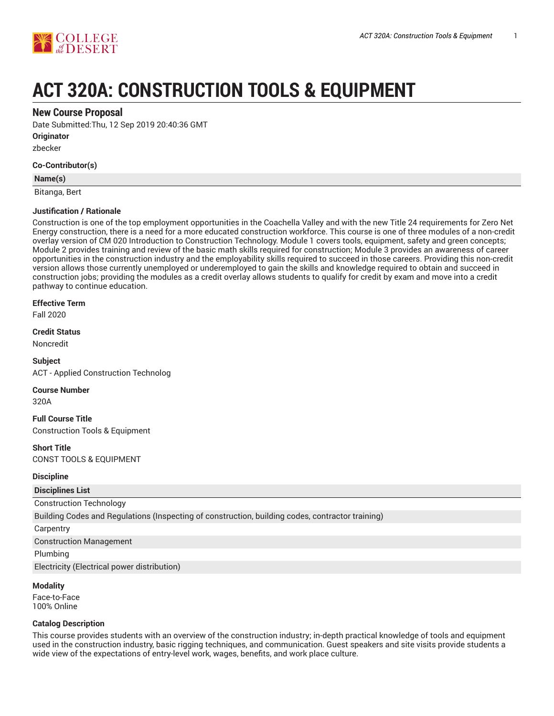

# **ACT 320A: CONSTRUCTION TOOLS & EQUIPMENT**

# **New Course Proposal**

Date Submitted:Thu, 12 Sep 2019 20:40:36 GMT

**Originator**

zbecker

#### **Co-Contributor(s)**

#### **Name(s)**

Bitanga, Bert

#### **Justification / Rationale**

Construction is one of the top employment opportunities in the Coachella Valley and with the new Title 24 requirements for Zero Net Energy construction, there is a need for a more educated construction workforce. This course is one of three modules of a non-credit overlay version of CM 020 Introduction to Construction Technology. Module 1 covers tools, equipment, safety and green concepts; Module 2 provides training and review of the basic math skills required for construction; Module 3 provides an awareness of career opportunities in the construction industry and the employability skills required to succeed in those careers. Providing this non-credit version allows those currently unemployed or underemployed to gain the skills and knowledge required to obtain and succeed in construction jobs; providing the modules as a credit overlay allows students to qualify for credit by exam and move into a credit pathway to continue education.

#### **Effective Term**

Fall 2020

**Credit Status**

Noncredit

**Subject** ACT - Applied Construction Technolog

#### **Course Number**

320A

**Full Course Title** Construction Tools & Equipment

**Short Title** CONST TOOLS & EQUIPMENT

#### **Discipline**

**Disciplines List**

# Construction Technology

Building Codes and Regulations (Inspecting of construction, building codes, contractor training)

**Carpentry** 

Construction Management

Plumbing

Electricity (Electrical power distribution)

#### **Modality**

Face-to-Face 100% Online

#### **Catalog Description**

This course provides students with an overview of the construction industry; in-depth practical knowledge of tools and equipment used in the construction industry, basic rigging techniques, and communication. Guest speakers and site visits provide students a wide view of the expectations of entry-level work, wages, benefits, and work place culture.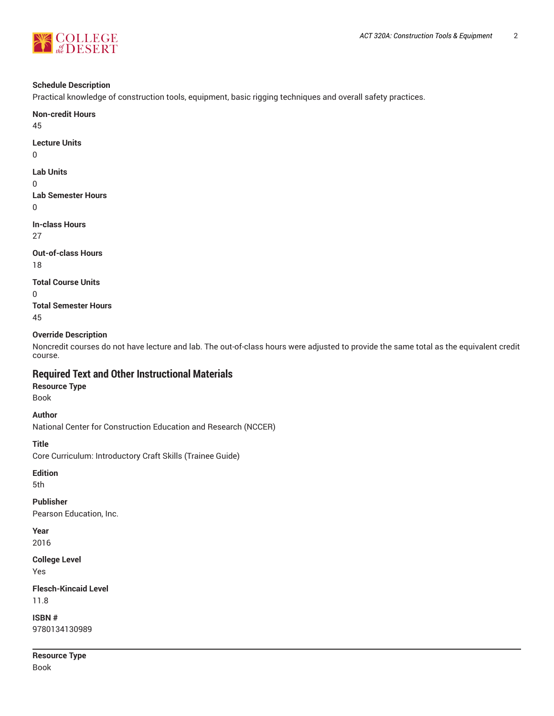

#### **Schedule Description**

Practical knowledge of construction tools, equipment, basic rigging techniques and overall safety practices.

**Non-credit Hours** 45

**Lecture Units**

0

#### **Lab Units**

0

**Lab Semester Hours**

0

**In-class Hours** 27

**Out-of-class Hours** 18

**Total Course Units**

0

**Total Semester Hours** 45

#### **Override Description**

Noncredit courses do not have lecture and lab. The out-of-class hours were adjusted to provide the same total as the equivalent credit course.

# **Required Text and Other Instructional Materials**

**Resource Type** Book

**Author**

National Center for Construction Education and Research (NCCER)

#### **Title**

Core Curriculum: Introductory Craft Skills (Trainee Guide)

**Edition**

5th

# **Publisher**

Pearson Education, Inc.

**Year**

2016

#### **College Level**

Yes

**Flesch-Kincaid Level** 11.8

**ISBN #** 9780134130989

**Resource Type** Book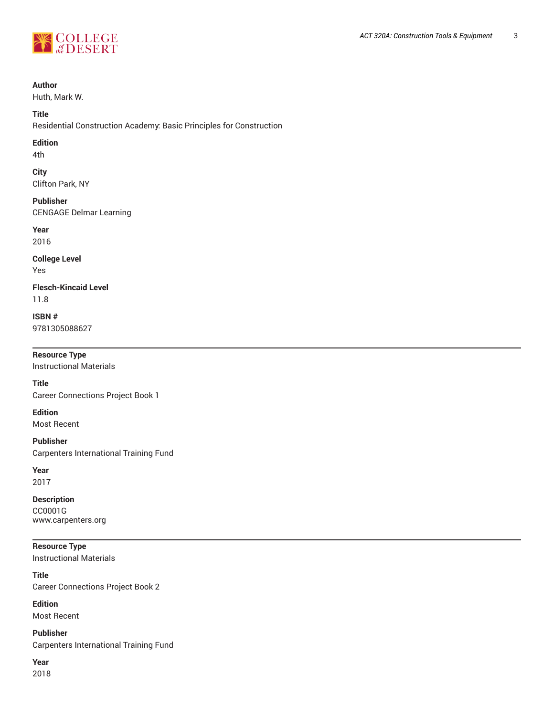

#### **Author**

Huth, Mark W.

#### **Title**

Residential Construction Academy: Basic Principles for Construction

#### **Edition**

4th

#### **City** Clifton Park, NY

**Publisher**

CENGAGE Delmar Learning

# **Year**

2016

#### **College Level** Yes

**Flesch-Kincaid Level** 11.8

# **ISBN #** 9781305088627

# **Resource Type**

Instructional Materials

#### **Title**

Career Connections Project Book 1

#### **Edition**

Most Recent

#### **Publisher**

Carpenters International Training Fund

#### **Year**

2017

# **Description**

CC0001G www.carpenters.org

#### **Resource Type**

Instructional Materials

#### **Title** Career Connections Project Book 2

**Edition** Most Recent

**Publisher** Carpenters International Training Fund

# **Year**

2018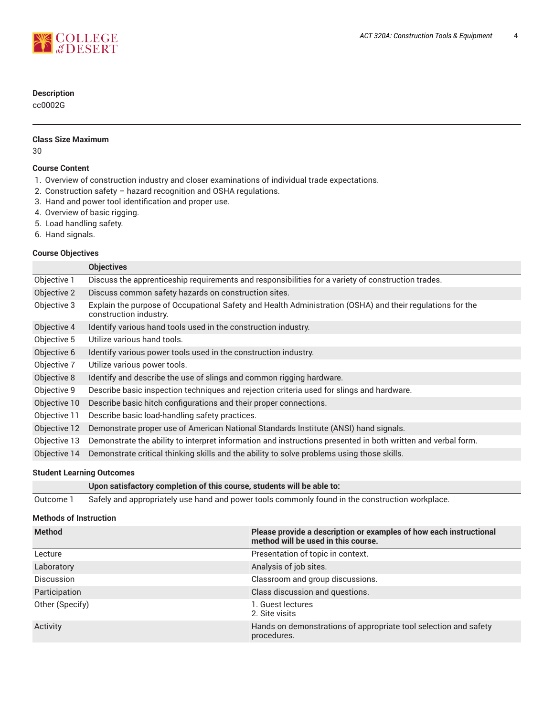

### **Description**

cc0002G

# **Class Size Maximum**

30

#### **Course Content**

- 1. Overview of construction industry and closer examinations of individual trade expectations.
- 2. Construction safety hazard recognition and OSHA regulations.
- 3. Hand and power tool identification and proper use.
- 4. Overview of basic rigging.
- 5. Load handling safety.
- 6. Hand signals.

#### **Course Objectives**

|              | <b>Objectives</b>                                                                                                                   |
|--------------|-------------------------------------------------------------------------------------------------------------------------------------|
| Objective 1  | Discuss the apprenticeship requirements and responsibilities for a variety of construction trades.                                  |
| Objective 2  | Discuss common safety hazards on construction sites.                                                                                |
| Objective 3  | Explain the purpose of Occupational Safety and Health Administration (OSHA) and their regulations for the<br>construction industry. |
| Objective 4  | Identify various hand tools used in the construction industry.                                                                      |
| Objective 5  | Utilize various hand tools.                                                                                                         |
| Objective 6  | Identify various power tools used in the construction industry.                                                                     |
| Objective 7  | Utilize various power tools.                                                                                                        |
| Objective 8  | Identify and describe the use of slings and common rigging hardware.                                                                |
| Objective 9  | Describe basic inspection techniques and rejection criteria used for slings and hardware.                                           |
| Objective 10 | Describe basic hitch configurations and their proper connections.                                                                   |
| Objective 11 | Describe basic load-handling safety practices.                                                                                      |
| Objective 12 | Demonstrate proper use of American National Standards Institute (ANSI) hand signals.                                                |
| Objective 13 | Demonstrate the ability to interpret information and instructions presented in both written and verbal form.                        |
| Objective 14 | Demonstrate critical thinking skills and the ability to solve problems using those skills.                                          |
|              |                                                                                                                                     |

#### **Student Learning Outcomes**

**Upon satisfactory completion of this course, students will be able to:**

Outcome 1 Safely and appropriately use hand and power tools commonly found in the construction workplace.

#### **Methods of Instruction**

| <b>Method</b>     | Please provide a description or examples of how each instructional<br>method will be used in this course. |
|-------------------|-----------------------------------------------------------------------------------------------------------|
| Lecture           | Presentation of topic in context.                                                                         |
| Laboratory        | Analysis of job sites.                                                                                    |
| <b>Discussion</b> | Classroom and group discussions.                                                                          |
| Participation     | Class discussion and questions.                                                                           |
| Other (Specify)   | 1. Guest lectures<br>2. Site visits                                                                       |
| Activity          | Hands on demonstrations of appropriate tool selection and safety<br>procedures.                           |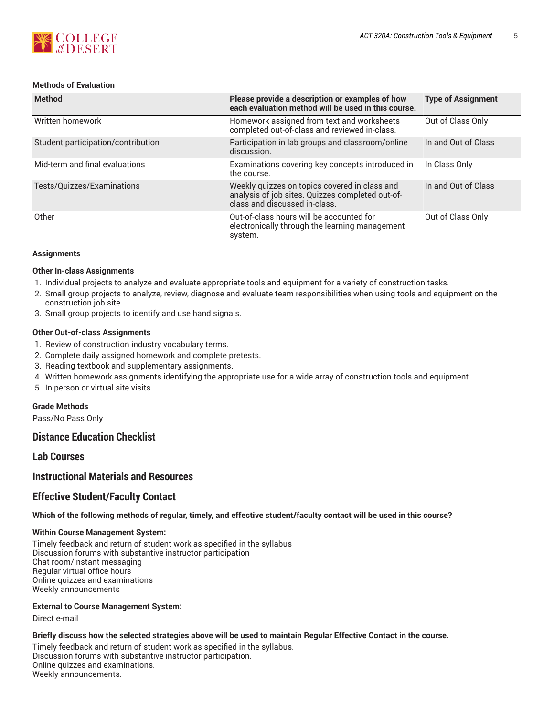

#### **Methods of Evaluation**

| <b>Method</b>                      | Please provide a description or examples of how<br>each evaluation method will be used in this course.                             | <b>Type of Assignment</b> |
|------------------------------------|------------------------------------------------------------------------------------------------------------------------------------|---------------------------|
| Written homework                   | Homework assigned from text and worksheets<br>completed out-of-class and reviewed in-class.                                        | Out of Class Only         |
| Student participation/contribution | Participation in lab groups and classroom/online<br>discussion.                                                                    | In and Out of Class       |
| Mid-term and final evaluations     | Examinations covering key concepts introduced in<br>the course.                                                                    | In Class Only             |
| Tests/Quizzes/Examinations         | Weekly quizzes on topics covered in class and<br>analysis of job sites. Quizzes completed out-of-<br>class and discussed in-class. | In and Out of Class       |
| Other                              | Out-of-class hours will be accounted for<br>electronically through the learning management<br>system.                              | Out of Class Only         |

#### **Assignments**

#### **Other In-class Assignments**

- 1. Individual projects to analyze and evaluate appropriate tools and equipment for a variety of construction tasks.
- 2. Small group projects to analyze, review, diagnose and evaluate team responsibilities when using tools and equipment on the construction job site.
- 3. Small group projects to identify and use hand signals.

#### **Other Out-of-class Assignments**

- 1. Review of construction industry vocabulary terms.
- 2. Complete daily assigned homework and complete pretests.
- 3. Reading textbook and supplementary assignments.
- 4. Written homework assignments identifying the appropriate use for a wide array of construction tools and equipment.
- 5. In person or virtual site visits.

#### **Grade Methods**

Pass/No Pass Only

# **Distance Education Checklist**

# **Lab Courses**

# **Instructional Materials and Resources**

# **Effective Student/Faculty Contact**

#### Which of the following methods of regular, timely, and effective student/faculty contact will be used in this course?

#### **Within Course Management System:**

Timely feedback and return of student work as specified in the syllabus Discussion forums with substantive instructor participation Chat room/instant messaging Regular virtual office hours Online quizzes and examinations Weekly announcements

#### **External to Course Management System:**

Direct e-mail

#### Briefly discuss how the selected strategies above will be used to maintain Regular Effective Contact in the course.

Timely feedback and return of student work as specified in the syllabus. Discussion forums with substantive instructor participation. Online quizzes and examinations. Weekly announcements.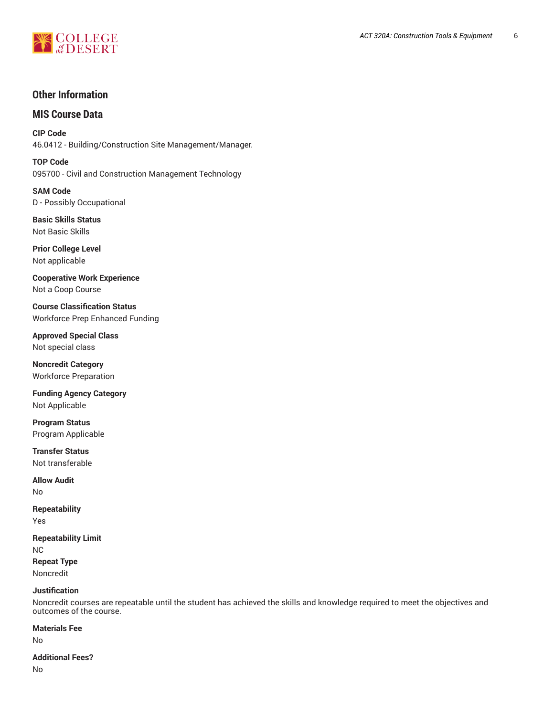

# **Other Information**

# **MIS Course Data**

**CIP Code** 46.0412 - Building/Construction Site Management/Manager.

**TOP Code** 095700 - Civil and Construction Management Technology

**SAM Code** D - Possibly Occupational

**Basic Skills Status** Not Basic Skills

**Prior College Level** Not applicable

**Cooperative Work Experience** Not a Coop Course

**Course Classification Status** Workforce Prep Enhanced Funding

**Approved Special Class** Not special class

**Noncredit Category** Workforce Preparation

**Funding Agency Category** Not Applicable

**Program Status** Program Applicable

**Transfer Status** Not transferable

**Allow Audit** No

**Repeatability** Yes

**Repeatability Limit** NC **Repeat Type** Noncredit

#### **Justification**

Noncredit courses are repeatable until the student has achieved the skills and knowledge required to meet the objectives and outcomes of the course.

**Materials Fee**

No

**Additional Fees?**

No